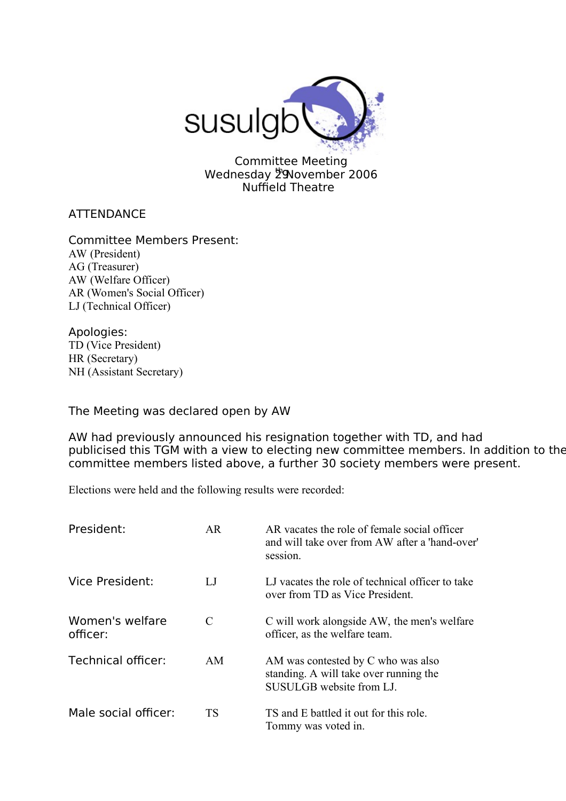

Committee Meeting Wednesday 29November 2006 Nuffield Theatre

**ATTENDANCE** 

Committee Members Present: AW (President) AG (Treasurer) AW (Welfare Officer) AR (Women's Social Officer) LJ (Technical Officer)

Apologies: TD (Vice President) HR (Secretary) NH (Assistant Secretary)

The Meeting was declared open by AW

AW had previously announced his resignation together with TD, and had publicised this TGM with a view to electing new committee members. In addition to the committee members listed above, a further 30 society members were present.

Elections were held and the following results were recorded:

| President:                  | AR        | AR vacates the role of female social officer<br>and will take over from AW after a 'hand-over'<br>session. |
|-----------------------------|-----------|------------------------------------------------------------------------------------------------------------|
| Vice President:             | LJ        | LJ vacates the role of technical officer to take<br>over from TD as Vice President.                        |
| Women's welfare<br>officer: | C         | C will work alongside AW, the men's welfare<br>officer, as the welfare team.                               |
| Technical officer:          | AM.       | AM was contested by C who was also<br>standing. A will take over running the<br>SUSULGB website from LJ.   |
| Male social officer:        | <b>TS</b> | TS and E battled it out for this role.<br>Tommy was voted in.                                              |